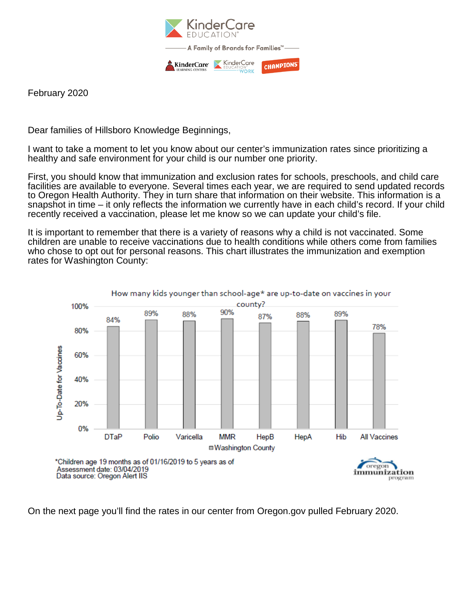

February 2020

Dear families of Hillsboro Knowledge Beginnings,

I want to take a moment to let you know about our center's immunization rates since prioritizing a healthy and safe environment for your child is our number one priority.

First, you should know that immunization and exclusion rates for schools, preschools, and child care facilities are available to everyone. Several times each year, we are required to send updated records to Oregon Health Authority. They in turn share that information on their website. This information is a snapshot in time – it only reflects the information we currently have in each child's record. If your child recently received a vaccination, please let me know so we can update your child's file.

It is important to remember that there is a variety of reasons why a child is not vaccinated. Some children are unable to receive vaccinations due to health conditions while others come from families who chose to opt out for personal reasons. This chart illustrates the immunization and exemption rates for Washington County:



On the next page you'll find the rates in our center from Oregon.gov pulled February 2020.